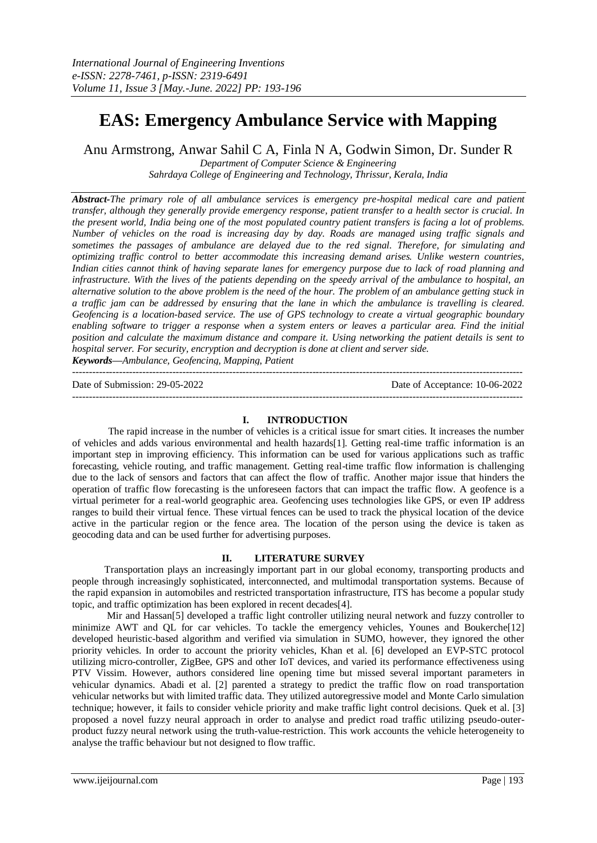# **EAS: Emergency Ambulance Service with Mapping**

Anu Armstrong, Anwar Sahil C A, Finla N A, Godwin Simon, Dr. Sunder R

*Department of Computer Science & Engineering Sahrdaya College of Engineering and Technology, Thrissur, Kerala, India*

*Abstract-The primary role of all ambulance services is emergency pre-hospital medical care and patient transfer, although they generally provide emergency response, patient transfer to a health sector is crucial. In the present world, India being one of the most populated country patient transfers is facing a lot of problems. Number of vehicles on the road is increasing day by day. Roads are managed using traffic signals and sometimes the passages of ambulance are delayed due to the red signal. Therefore, for simulating and optimizing traffic control to better accommodate this increasing demand arises. Unlike western countries, Indian cities cannot think of having separate lanes for emergency purpose due to lack of road planning and infrastructure. With the lives of the patients depending on the speedy arrival of the ambulance to hospital, an alternative solution to the above problem is the need of the hour. The problem of an ambulance getting stuck in a traffic jam can be addressed by ensuring that the lane in which the ambulance is travelling is cleared. Geofencing is a location-based service. The use of GPS technology to create a virtual geographic boundary enabling software to trigger a response when a system enters or leaves a particular area. Find the initial position and calculate the maximum distance and compare it. Using networking the patient details is sent to hospital server. For security, encryption and decryption is done at client and server side.*

*Keywords***—***Ambulance, Geofencing, Mapping, Patient*

--------------------------------------------------------------------------------------------------------------------------------------- Date of Submission: 29-05-2022 Date of Acceptance: 10-06-2022 ---------------------------------------------------------------------------------------------------------------------------------------

## **I. INTRODUCTION**

The rapid increase in the number of vehicles is a critical issue for smart cities. It increases the number of vehicles and adds various environmental and health hazards[1]. Getting real-time traffic information is an important step in improving efficiency. This information can be used for various applications such as traffic forecasting, vehicle routing, and traffic management. Getting real-time traffic flow information is challenging due to the lack of sensors and factors that can affect the flow of traffic. Another major issue that hinders the operation of traffic flow forecasting is the unforeseen factors that can impact the traffic flow. A geofence is a virtual perimeter for a real-world geographic area. Geofencing uses technologies like GPS, or even IP address ranges to build their virtual fence. These virtual fences can be used to track the physical location of the device active in the particular region or the fence area. The location of the person using the device is taken as geocoding data and can be used further for advertising purposes.

# **II. LITERATURE SURVEY**

 Transportation plays an increasingly important part in our global economy, transporting products and people through increasingly sophisticated, interconnected, and multimodal transportation systems. Because of the rapid expansion in automobiles and restricted transportation infrastructure, ITS has become a popular study topic, and traffic optimization has been explored in recent decades[4].

 Mir and Hassan[5] developed a traffic light controller utilizing neural network and fuzzy controller to minimize AWT and QL for car vehicles. To tackle the emergency vehicles, Younes and Boukerche[12] developed heuristic-based algorithm and verified via simulation in SUMO, however, they ignored the other priority vehicles. In order to account the priority vehicles, Khan et al. [6] developed an EVP-STC protocol utilizing micro-controller, ZigBee, GPS and other IoT devices, and varied its performance effectiveness using PTV Vissim. However, authors considered line opening time but missed several important parameters in vehicular dynamics. Abadi et al. [2] parented a strategy to predict the traffic flow on road transportation vehicular networks but with limited traffic data. They utilized autoregressive model and Monte Carlo simulation technique; however, it fails to consider vehicle priority and make traffic light control decisions. Quek et al. [3] proposed a novel fuzzy neural approach in order to analyse and predict road traffic utilizing pseudo-outerproduct fuzzy neural network using the truth-value-restriction. This work accounts the vehicle heterogeneity to analyse the traffic behaviour but not designed to flow traffic.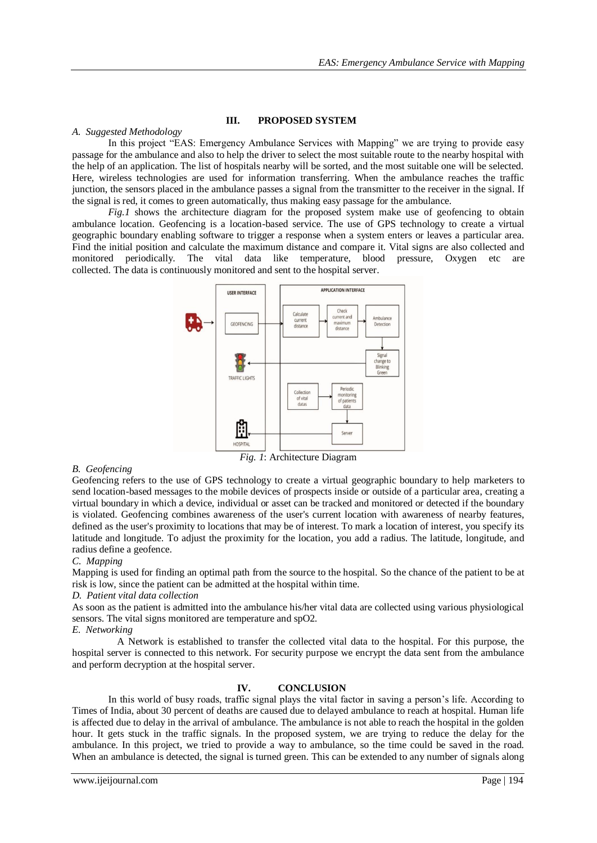## **III. PROPOSED SYSTEM**

## *A. Suggested Methodology*

In this project "EAS: Emergency Ambulance Services with Mapping" we are trying to provide easy passage for the ambulance and also to help the driver to select the most suitable route to the nearby hospital with the help of an application. The list of hospitals nearby will be sorted, and the most suitable one will be selected. Here, wireless technologies are used for information transferring. When the ambulance reaches the traffic junction, the sensors placed in the ambulance passes a signal from the transmitter to the receiver in the signal. If the signal is red, it comes to green automatically, thus making easy passage for the ambulance.

*Fig.1* shows the architecture diagram for the proposed system make use of geofencing to obtain ambulance location. Geofencing is a location-based service. The use of GPS technology to create a virtual geographic boundary enabling software to trigger a response when a system enters or leaves a particular area. Find the initial position and calculate the maximum distance and compare it. Vital signs are also collected and monitored periodically. The vital data like temperature, blood pressure, Oxygen etc are collected. The data is continuously monitored and sent to the hospital server.



*B. Geofencing*

Geofencing refers to the use of GPS technology to create a virtual geographic boundary to help marketers to send location-based messages to the mobile devices of prospects inside or outside of a particular area, creating a virtual boundary in which a device, individual or asset can be tracked and monitored or detected if the boundary is violated. Geofencing combines awareness of the user's current location with awareness of nearby features, defined as the user's proximity to locations that may be of interest. To mark a location of interest, you specify its latitude and longitude. To adjust the proximity for the location, you add a radius. The latitude, longitude, and radius define a geofence.

#### *C. Mapping*

Mapping is used for finding an optimal path from the source to the hospital. So the chance of the patient to be at risk is low, since the patient can be admitted at the hospital within time.

#### *D. Patient vital data collection*

As soon as the patient is admitted into the ambulance his/her vital data are collected using various physiological sensors. The vital signs monitored are temperature and spO2.

#### *E. Networking*

A Network is established to transfer the collected vital data to the hospital. For this purpose, the hospital server is connected to this network. For security purpose we encrypt the data sent from the ambulance and perform decryption at the hospital server.

## **IV. CONCLUSION**

In this world of busy roads, traffic signal plays the vital factor in saving a person's life. According to Times of India, about 30 percent of deaths are caused due to delayed ambulance to reach at hospital. Human life is affected due to delay in the arrival of ambulance. The ambulance is not able to reach the hospital in the golden hour. It gets stuck in the traffic signals. In the proposed system, we are trying to reduce the delay for the ambulance. In this project, we tried to provide a way to ambulance, so the time could be saved in the road. When an ambulance is detected, the signal is turned green. This can be extended to any number of signals along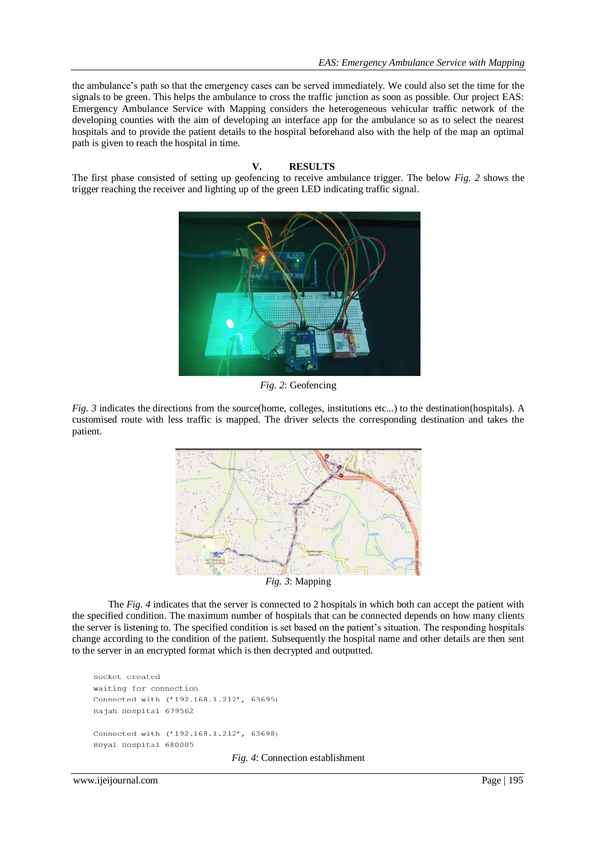the ambulance's path so that the emergency cases can be served immediately. We could also set the time for the signals to be green. This helps the ambulance to cross the traffic junction as soon as possible. Our project EAS: Emergency Ambulance Service with Mapping considers the heterogeneous vehicular traffic network of the developing counties with the aim of developing an interface app for the ambulance so as to select the nearest hospitals and to provide the patient details to the hospital beforehand also with the help of the map an optimal path is given to reach the hospital in time.

## **V. RESULTS**

The first phase consisted of setting up geofencing to receive ambulance trigger. The below *Fig. 2* shows the trigger reaching the receiver and lighting up of the green LED indicating traffic signal.



*Fig. 2*: Geofencing

*Fig. 3* indicates the directions from the source(home, colleges, institutions etc...) to the destination(hospitals). A customised route with less traffic is mapped. The driver selects the corresponding destination and takes the patient.



*Fig. 3*: Mapping

The *Fig. 4* indicates that the server is connected to 2 hospitals in which both can accept the patient with the specified condition. The maximum number of hospitals that can be connected depends on how many clients the server is listening to. The specified condition is set based on the patient's situation. The responding hospitals change according to the condition of the patient. Subsequently the hospital name and other details are then sent to the server in an encrypted format which is then decrypted and outputted.

```
socket created
waiting for connection
Connected with ('192.168.1.212', 63695)
Rajah Hospital 679562
Connected with ('192.168.1.212', 63698)
Royal Hospital 680005
```
*Fig. 4*: Connection establishment